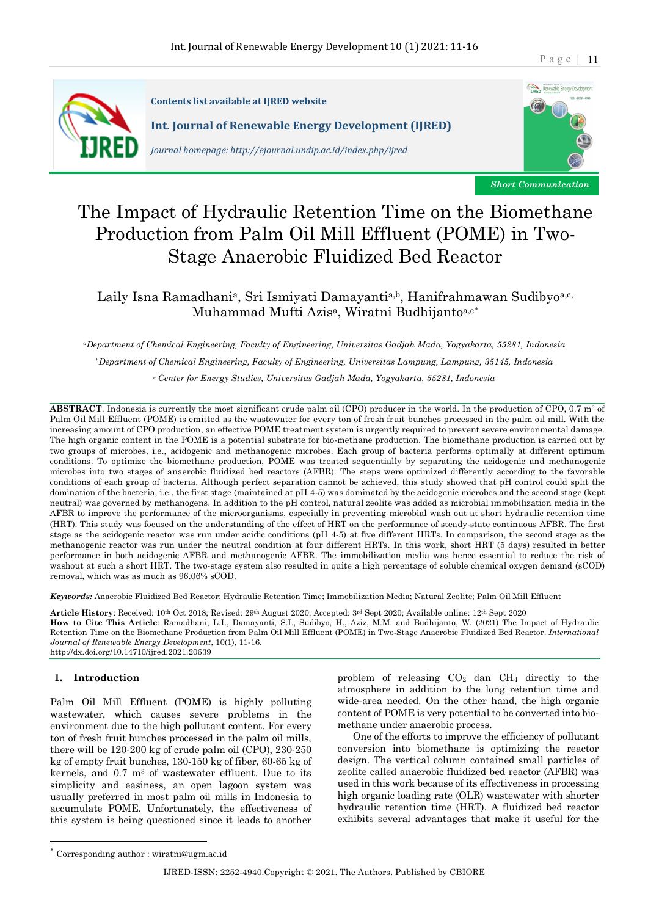

**Contents list available at IIRED website Int. Journal of Renewable Energy Development (IJRED)** 

*Journal homepage: http://ejournal.undip.ac.id/index.php/ijred*



*Short Communication*

# The Impact of Hydraulic Retention Time on the Biomethane Production from Palm Oil Mill Effluent (POME) in Two-Stage Anaerobic Fluidized Bed Reactor

Laily Isna Ramadhania, Sri Ismiyati Damayantia,b, Hanifrahmawan Sudibyoa,c, Muhammad Mufti Azisa, Wiratni Budhijantoa,c\*

*aDepartment of Chemical Engineering, Faculty of Engineering, Universitas Gadjah Mada, Yogyakarta, 55281, Indonesia bDepartment of Chemical Engineering, Faculty of Engineering, Universitas Lampung, Lampung, 35145, Indonesia <sup>c</sup> Center for Energy Studies, Universitas Gadjah Mada, Yogyakarta, 55281, Indonesia*

**ABSTRACT**. Indonesia is currently the most significant crude palm oil (CPO) producer in the world. In the production of CPO, 0.7 m3 of Palm Oil Mill Effluent (POME) is emitted as the wastewater for every ton of fresh fruit bunches processed in the palm oil mill. With the increasing amount of CPO production, an effective POME treatment system is urgently required to prevent severe environmental damage. The high organic content in the POME is a potential substrate for bio-methane production. The biomethane production is carried out by two groups of microbes, i.e., acidogenic and methanogenic microbes. Each group of bacteria performs optimally at different optimum conditions. To optimize the biomethane production, POME was treated sequentially by separating the acidogenic and methanogenic microbes into two stages of anaerobic fluidized bed reactors (AFBR). The steps were optimized differently according to the favorable conditions of each group of bacteria. Although perfect separation cannot be achieved, this study showed that pH control could split the domination of the bacteria, i.e., the first stage (maintained at pH 4-5) was dominated by the acidogenic microbes and the second stage (kept neutral) was governed by methanogens. In addition to the pH control, natural zeolite was added as microbial immobilization media in the AFBR to improve the performance of the microorganisms, especially in preventing microbial wash out at short hydraulic retention time (HRT). This study was focused on the understanding of the effect of HRT on the performance of steady-state continuous AFBR. The first stage as the acidogenic reactor was run under acidic conditions (pH 4-5) at five different HRTs. In comparison, the second stage as the methanogenic reactor was run under the neutral condition at four different HRTs. In this work, short HRT (5 days) resulted in better performance in both acidogenic AFBR and methanogenic AFBR. The immobilization media was hence essential to reduce the risk of washout at such a short HRT. The two-stage system also resulted in quite a high percentage of soluble chemical oxygen demand (sCOD) removal, which was as much as 96.06% sCOD.

*Keywords:* Anaerobic Fluidized Bed Reactor; Hydraulic Retention Time; Immobilization Media; Natural Zeolite; Palm Oil Mill Effluent

**Article History**: Received: 10th Oct 2018; Revised: 29th August 2020; Accepted: 3rd Sept 2020; Available online: 12th Sept 2020 **How to Cite This Article**: Ramadhani, L.I., Damayanti, S.I., Sudibyo, H., Aziz, M.M. and Budhijanto, W. (2021) The Impact of Hydraulic Retention Time on the Biomethane Production from Palm Oil Mill Effluent (POME) in Two-Stage Anaerobic Fluidized Bed Reactor. *International Journal of Renewable Energy Development*, 10(1), 11-16. http://dx.doi.org/10.14710/ijred.2021.20639

# **1. Introduction**

Palm Oil Mill Effluent (POME) is highly polluting wastewater, which causes severe problems in the environment due to the high pollutant content. For every ton of fresh fruit bunches processed in the palm oil mills, there will be 120-200 kg of crude palm oil (CPO), 230-250 kg of empty fruit bunches, 130-150 kg of fiber, 60-65 kg of kernels, and  $0.7 \text{ m}^3$  of wastewater effluent. Due to its simplicity and easiness, an open lagoon system was usually preferred in most palm oil mills in Indonesia to accumulate POME. Unfortunately, the effectiveness of this system is being questioned since it leads to another

problem of releasing  $CO<sub>2</sub>$  dan  $CH<sub>4</sub>$  directly to the atmosphere in addition to the long retention time and wide-area needed. On the other hand, the high organic content of POME is very potential to be converted into biomethane under anaerobic process.

One of the efforts to improve the efficiency of pollutant conversion into biomethane is optimizing the reactor design. The vertical column contained small particles of zeolite called anaerobic fluidized bed reactor (AFBR) was used in this work because of its effectiveness in processing high organic loading rate (OLR) wastewater with shorter hydraulic retention time (HRT). A fluidized bed reactor exhibits several advantages that make it useful for the

Corresponding author : wiratni@ugm.ac.id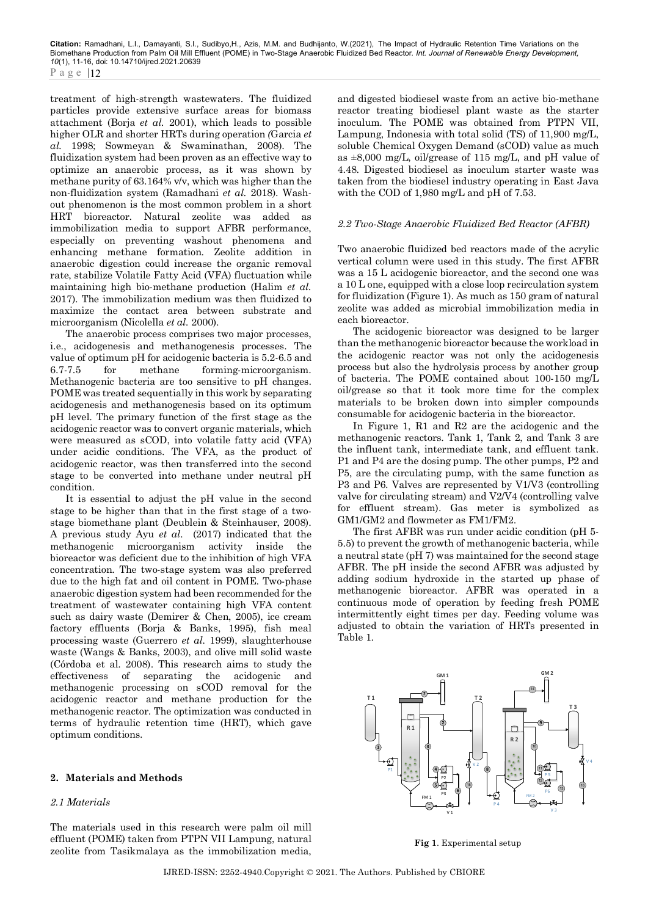treatment of high-strength wastewaters. The fluidized particles provide extensive surface areas for biomass attachment (Borja *et al.* 2001), which leads to possible higher OLR and shorter HRTs during operation *(*Garcia *et al.* 1998; Sowmeyan & Swaminathan, 2008). The fluidization system had been proven as an effective way to optimize an anaerobic process, as it was shown by methane purity of 63.164% v/v, which was higher than the non-fluidization system (Ramadhani *et al.* 2018). Washout phenomenon is the most common problem in a short HRT bioreactor. Natural zeolite was added as immobilization media to support AFBR performance, especially on preventing washout phenomena and enhancing methane formation. Zeolite addition in anaerobic digestion could increase the organic removal rate, stabilize Volatile Fatty Acid (VFA) fluctuation while maintaining high bio-methane production (Halim *et al.* 2017). The immobilization medium was then fluidized to maximize the contact area between substrate and microorganism (Nicolella *et al.* 2000).

The anaerobic process comprises two major processes, i.e., acidogenesis and methanogenesis processes. The value of optimum pH for acidogenic bacteria is 5.2-6.5 and 6.7-7.5 for methane forming-microorganism. Methanogenic bacteria are too sensitive to pH changes. POME was treated sequentially in this work by separating acidogenesis and methanogenesis based on its optimum pH level. The primary function of the first stage as the acidogenic reactor was to convert organic materials, which were measured as sCOD, into volatile fatty acid (VFA) under acidic conditions. The VFA, as the product of acidogenic reactor, was then transferred into the second stage to be converted into methane under neutral pH condition.

It is essential to adjust the pH value in the second stage to be higher than that in the first stage of a twostage biomethane plant (Deublein & Steinhauser, 2008). A previous study Ayu *et al.* (2017) indicated that the methanogenic microorganism activity inside the bioreactor was deficient due to the inhibition of high VFA concentration. The two-stage system was also preferred due to the high fat and oil content in POME. Two-phase anaerobic digestion system had been recommended for the treatment of wastewater containing high VFA content such as dairy waste (Demirer & Chen, 2005), ice cream factory effluents (Borja & Banks, 1995), fish meal processing waste (Guerrero *et al.* 1999), slaughterhouse waste (Wangs & Banks, 2003), and olive mill solid waste (Córdoba et al. 2008). This research aims to study the effectiveness of separating the acidogenic and methanogenic processing on sCOD removal for the acidogenic reactor and methane production for the methanogenic reactor. The optimization was conducted in terms of hydraulic retention time (HRT), which gave optimum conditions.

## **2. Materials and Methods**

## *2.1 Materials*

The materials used in this research were palm oil mill effluent (POME) taken from PTPN VII Lampung, natural zeolite from Tasikmalaya as the immobilization media,

and digested biodiesel waste from an active bio-methane reactor treating biodiesel plant waste as the starter inoculum. The POME was obtained from PTPN VII, Lampung, Indonesia with total solid (TS) of 11,900 mg/L, soluble Chemical Oxygen Demand (sCOD) value as much as ±8,000 mg/L, oil/grease of 115 mg/L, and pH value of 4.48. Digested biodiesel as inoculum starter waste was taken from the biodiesel industry operating in East Java with the COD of 1,980 mg/L and pH of 7.53.

## *2.2 Two-Stage Anaerobic Fluidized Bed Reactor (AFBR)*

Two anaerobic fluidized bed reactors made of the acrylic vertical column were used in this study. The first AFBR was a 15 L acidogenic bioreactor, and the second one was a 10 L one, equipped with a close loop recirculation system for fluidization (Figure 1). As much as 150 gram of natural zeolite was added as microbial immobilization media in each bioreactor.

The acidogenic bioreactor was designed to be larger than the methanogenic bioreactor because the workload in the acidogenic reactor was not only the acidogenesis process but also the hydrolysis process by another group of bacteria. The POME contained about 100-150 mg/L oil/grease so that it took more time for the complex materials to be broken down into simpler compounds consumable for acidogenic bacteria in the bioreactor.

In Figure 1, R1 and R2 are the acidogenic and the methanogenic reactors. Tank 1, Tank 2, and Tank 3 are the influent tank, intermediate tank, and effluent tank. P1 and P4 are the dosing pump. The other pumps, P2 and P5, are the circulating pump, with the same function as P3 and P6. Valves are represented by V1/V3 (controlling valve for circulating stream) and V2/V4 (controlling valve for effluent stream). Gas meter is symbolized as GM1/GM2 and flowmeter as FM1/FM2.

The first AFBR was run under acidic condition (pH 5- 5.5) to prevent the growth of methanogenic bacteria, while a neutral state (pH 7) was maintained for the second stage AFBR. The pH inside the second AFBR was adjusted by adding sodium hydroxide in the started up phase of methanogenic bioreactor. AFBR was operated in a continuous mode of operation by feeding fresh POME intermittently eight times per day. Feeding volume was adjusted to obtain the variation of HRTs presented in Table 1.



**Fig 1**. Experimental setup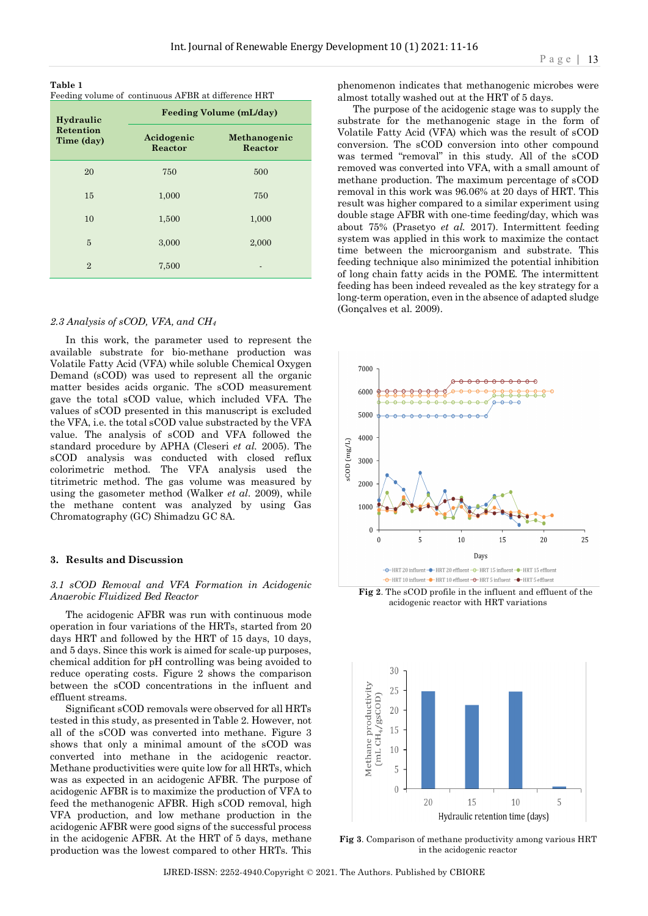**Table 1**  Feeding volume of continuous AFBR at difference HRT

| Hydraulic                      | <b>Feeding Volume (mL/day)</b> |                         |  |  |
|--------------------------------|--------------------------------|-------------------------|--|--|
| <b>Retention</b><br>Time (day) | Acidogenic<br>Reactor          | Methanogenic<br>Reactor |  |  |
| 20                             | 750                            | 500                     |  |  |
| 15                             | 1,000                          | 750                     |  |  |
| 10                             | 1,500                          | 1,000                   |  |  |
| 5                              | 3,000                          | 2,000                   |  |  |
| $\overline{2}$                 | 7,500                          |                         |  |  |

#### *2.3 Analysis of sCOD, VFA, and CH4*

In this work, the parameter used to represent the available substrate for bio-methane production was Volatile Fatty Acid (VFA) while soluble Chemical Oxygen Demand (sCOD) was used to represent all the organic matter besides acids organic. The sCOD measurement gave the total sCOD value, which included VFA. The values of sCOD presented in this manuscript is excluded the VFA, i.e. the total sCOD value substracted by the VFA value. The analysis of sCOD and VFA followed the standard procedure by APHA (Cleseri *et al.* 2005). The sCOD analysis was conducted with closed reflux colorimetric method. The VFA analysis used the titrimetric method. The gas volume was measured by using the gasometer method (Walker *et al.* 2009), while the methane content was analyzed by using Gas Chromatography (GC) Shimadzu GC 8A.

#### **3. Results and Discussion**

#### *3.1 sCOD Removal and VFA Formation in Acidogenic Anaerobic Fluidized Bed Reactor*

The acidogenic AFBR was run with continuous mode operation in four variations of the HRTs, started from 20 days HRT and followed by the HRT of 15 days, 10 days, and 5 days. Since this work is aimed for scale-up purposes, chemical addition for pH controlling was being avoided to reduce operating costs. Figure 2 shows the comparison between the sCOD concentrations in the influent and effluent streams.

Significant sCOD removals were observed for all HRTs tested in this study, as presented in Table 2. However, not all of the sCOD was converted into methane. Figure 3 shows that only a minimal amount of the sCOD was converted into methane in the acidogenic reactor. Methane productivities were quite low for all HRTs, which was as expected in an acidogenic AFBR. The purpose of acidogenic AFBR is to maximize the production of VFA to feed the methanogenic AFBR. High sCOD removal, high VFA production, and low methane production in the acidogenic AFBR were good signs of the successful process in the acidogenic AFBR. At the HRT of 5 days, methane production was the lowest compared to other HRTs. This

phenomenon indicates that methanogenic microbes were almost totally washed out at the HRT of 5 days.

The purpose of the acidogenic stage was to supply the substrate for the methanogenic stage in the form of Volatile Fatty Acid (VFA) which was the result of sCOD conversion. The sCOD conversion into other compound was termed "removal" in this study. All of the sCOD removed was converted into VFA, with a small amount of methane production. The maximum percentage of sCOD removal in this work was 96.06% at 20 days of HRT. This result was higher compared to a similar experiment using double stage AFBR with one-time feeding/day, which was about 75% (Prasetyo *et al.* 2017). Intermittent feeding system was applied in this work to maximize the contact time between the microorganism and substrate. This feeding technique also minimized the potential inhibition of long chain fatty acids in the POME. The intermittent feeding has been indeed revealed as the key strategy for a long-term operation, even in the absence of adapted sludge (Gonçalves et al. 2009).



**Fig 2**. The sCOD profile in the influent and effluent of the acidogenic reactor with HRT variations



**Fig 3**. Comparison of methane productivity among various HRT in the acidogenic reactor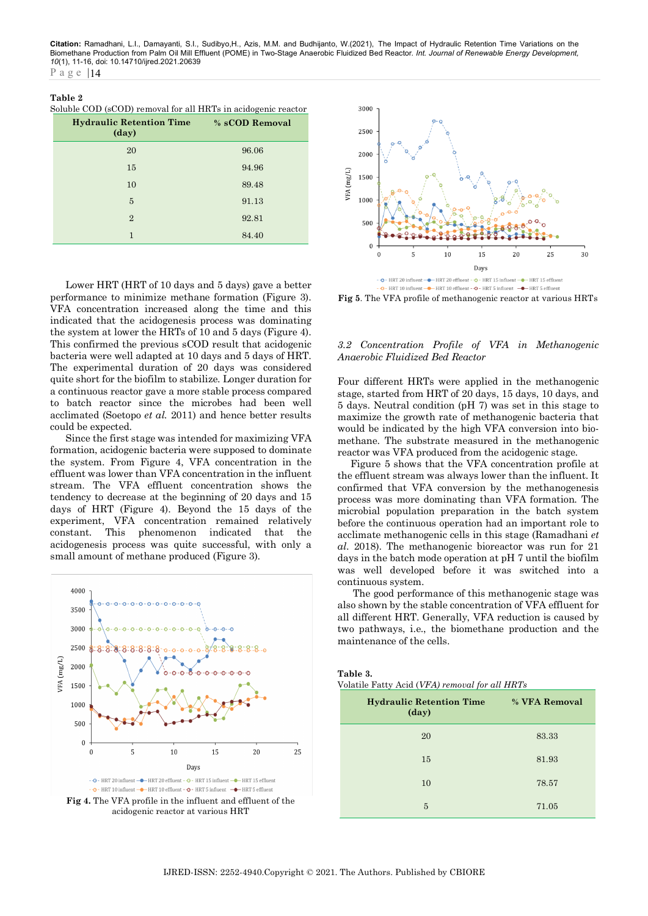**Citation:** Ramadhani, L.I., Damayanti, S.I., Sudibyo,H., Azis, M.M. and Budhijanto, W.(2021), The Impact of Hydraulic Retention Time Variations on the<br>Biomethane Production from Palm Oil Mill Effluent (POME) in Two-Stage *10*(1), 11-16, doi: 10.14710/ijred.2021.20639 Page | 14

#### **Table 2**

|  |  |  |  | Soluble COD (sCOD) removal for all HRTs in acidogenic reactor |
|--|--|--|--|---------------------------------------------------------------|
|--|--|--|--|---------------------------------------------------------------|

| <b>Hydraulic Retention Time</b><br>$(\text{day})$ | % sCOD Removal |
|---------------------------------------------------|----------------|
| 20                                                | 96.06          |
| 15                                                | 94.96          |
| 10                                                | 89.48          |
| 5                                                 | 91.13          |
| $\overline{2}$                                    | 92.81          |
| 1                                                 | 84.40          |

Lower HRT (HRT of 10 days and 5 days) gave a better performance to minimize methane formation (Figure 3). VFA concentration increased along the time and this indicated that the acidogenesis process was dominating the system at lower the HRTs of 10 and 5 days (Figure 4). This confirmed the previous sCOD result that acidogenic bacteria were well adapted at 10 days and 5 days of HRT. The experimental duration of 20 days was considered quite short for the biofilm to stabilize. Longer duration for a continuous reactor gave a more stable process compared to batch reactor since the microbes had been well acclimated (Soetopo *et al.* 2011) and hence better results could be expected.

Since the first stage was intended for maximizing VFA formation, acidogenic bacteria were supposed to dominate the system. From Figure 4, VFA concentration in the effluent was lower than VFA concentration in the influent stream. The VFA effluent concentration shows the tendency to decrease at the beginning of 20 days and 15 days of HRT (Figure 4). Beyond the 15 days of the experiment, VFA concentration remained relatively constant. This phenomenon indicated that the acidogenesis process was quite successful, with only a small amount of methane produced (Figure 3).



**Fig 4.** The VFA profile in the influent and effluent of the acidogenic reactor at various HRT



**Fig 5**. The VFA profile of methanogenic reactor at various HRTs

#### *3.2 Concentration Profile of VFA in Methanogenic Anaerobic Fluidized Bed Reactor*

Four different HRTs were applied in the methanogenic stage, started from HRT of 20 days, 15 days, 10 days, and 5 days. Neutral condition (pH 7) was set in this stage to maximize the growth rate of methanogenic bacteria that would be indicated by the high VFA conversion into biomethane. The substrate measured in the methanogenic reactor was VFA produced from the acidogenic stage.

Figure 5 shows that the VFA concentration profile at the effluent stream was always lower than the influent. It confirmed that VFA conversion by the methanogenesis process was more dominating than VFA formation. The microbial population preparation in the batch system before the continuous operation had an important role to acclimate methanogenic cells in this stage (Ramadhani *et al*. 2018). The methanogenic bioreactor was run for 21 days in the batch mode operation at pH 7 until the biofilm was well developed before it was switched into a continuous system.

The good performance of this methanogenic stage was also shown by the stable concentration of VFA effluent for all different HRT. Generally, VFA reduction is caused by two pathways, i.e., the biomethane production and the maintenance of the cells.

|  | Table 3. |  |  |  |
|--|----------|--|--|--|
|  |          |  |  |  |

Volatile Fatty Acid (*VFA) removal for all HRTs*

| <b>Hydraulic Retention Time</b><br>(day) | % VFA Removal |
|------------------------------------------|---------------|
| 20                                       | 83.33         |
| 15                                       | 81.93         |
| 10                                       | 78.57         |
| 5                                        | 71.05         |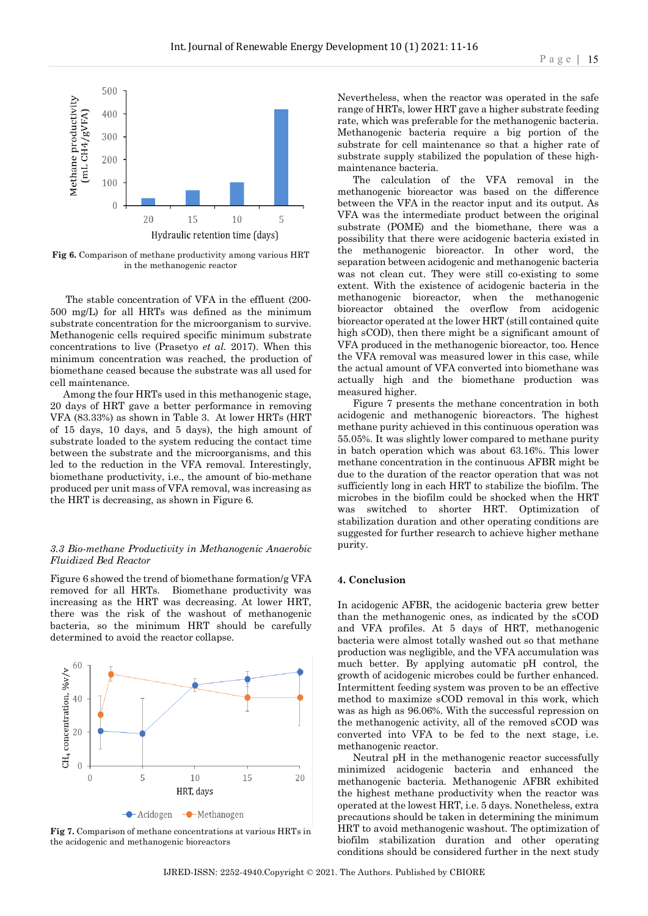

**Fig 6.** Comparison of methane productivity among various HRT in the methanogenic reactor

The stable concentration of VFA in the effluent (200- 500 mg/L) for all HRTs was defined as the minimum substrate concentration for the microorganism to survive. Methanogenic cells required specific minimum substrate concentrations to live (Prasetyo *et al.* 2017). When this minimum concentration was reached, the production of biomethane ceased because the substrate was all used for cell maintenance.

Among the four HRTs used in this methanogenic stage, 20 days of HRT gave a better performance in removing VFA (83.33%) as shown in Table 3. At lower HRTs (HRT of 15 days, 10 days, and 5 days), the high amount of substrate loaded to the system reducing the contact time between the substrate and the microorganisms, and this led to the reduction in the VFA removal. Interestingly, biomethane productivity, i.e., the amount of bio-methane produced per unit mass of VFA removal, was increasing as the HRT is decreasing, as shown in Figure 6.

#### *3.3 Bio-methane Productivity in Methanogenic Anaerobic Fluidized Bed Reactor*

Figure 6 showed the trend of biomethane formation/g VFA removed for all HRTs. Biomethane productivity was increasing as the HRT was decreasing. At lower HRT, there was the risk of the washout of methanogenic bacteria, so the minimum HRT should be carefully determined to avoid the reactor collapse.



**Fig 7.** Comparison of methane concentrations at various HRTs in the acidogenic and methanogenic bioreactors

Nevertheless, when the reactor was operated in the safe range of HRTs, lower HRT gave a higher substrate feeding rate, which was preferable for the methanogenic bacteria. Methanogenic bacteria require a big portion of the substrate for cell maintenance so that a higher rate of substrate supply stabilized the population of these highmaintenance bacteria.

The calculation of the VFA removal in the methanogenic bioreactor was based on the difference between the VFA in the reactor input and its output. As VFA was the intermediate product between the original substrate (POME) and the biomethane, there was a possibility that there were acidogenic bacteria existed in the methanogenic bioreactor. In other word, the separation between acidogenic and methanogenic bacteria was not clean cut. They were still co-existing to some extent. With the existence of acidogenic bacteria in the methanogenic bioreactor, when the methanogenic bioreactor obtained the overflow from acidogenic bioreactor operated at the lower HRT (still contained quite high sCOD), then there might be a significant amount of VFA produced in the methanogenic bioreactor, too. Hence the VFA removal was measured lower in this case, while the actual amount of VFA converted into biomethane was actually high and the biomethane production was measured higher.

Figure 7 presents the methane concentration in both acidogenic and methanogenic bioreactors. The highest methane purity achieved in this continuous operation was 55.05%. It was slightly lower compared to methane purity in batch operation which was about 63.16%. This lower methane concentration in the continuous AFBR might be due to the duration of the reactor operation that was not sufficiently long in each HRT to stabilize the biofilm. The microbes in the biofilm could be shocked when the HRT was switched to shorter HRT. Optimization of stabilization duration and other operating conditions are suggested for further research to achieve higher methane purity.

#### **4. Conclusion**

In acidogenic AFBR, the acidogenic bacteria grew better than the methanogenic ones, as indicated by the sCOD and VFA profiles. At 5 days of HRT, methanogenic bacteria were almost totally washed out so that methane production was negligible, and the VFA accumulation was much better. By applying automatic pH control, the growth of acidogenic microbes could be further enhanced. Intermittent feeding system was proven to be an effective method to maximize sCOD removal in this work, which was as high as 96.06%. With the successful repression on the methanogenic activity, all of the removed sCOD was converted into VFA to be fed to the next stage, i.e. methanogenic reactor.

Neutral pH in the methanogenic reactor successfully minimized acidogenic bacteria and enhanced the methanogenic bacteria. Methanogenic AFBR exhibited the highest methane productivity when the reactor was operated at the lowest HRT, i.e. 5 days. Nonetheless, extra precautions should be taken in determining the minimum HRT to avoid methanogenic washout. The optimization of biofilm stabilization duration and other operating conditions should be considered further in the next study